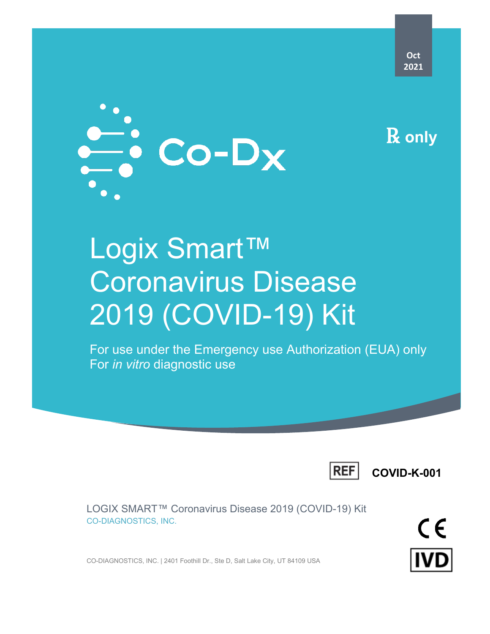

# Logix Smart™ Coronavirus Disease 2019 (COVID-19) Kit

For use under the Emergency use Authorization (EUA) only For *in vitro* diagnostic use



**COVID-K-001**

LOGIX SMART™ Coronavirus Disease 2019 (COVID-19) Kit CO-DIAGNOSTICS, INC.

CO-DIAGNOSTICS, INC. | 2401 Foothill Dr., Ste D, Salt Lake City, UT 84109 USA

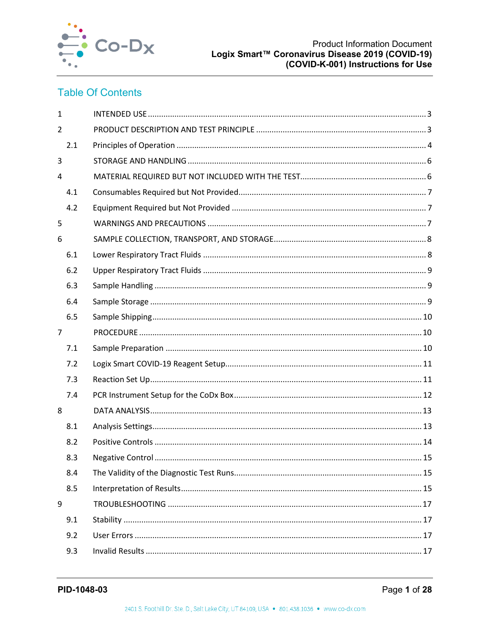

## **Table Of Contents**

| $\mathbf{1}$   |  |
|----------------|--|
| $\overline{2}$ |  |
| 2.1            |  |
| 3              |  |
| 4              |  |
| 4.1            |  |
| 4.2            |  |
| 5              |  |
| 6              |  |
| 6.1            |  |
| 6.2            |  |
| 6.3            |  |
| 6.4            |  |
| 6.5            |  |
| $\overline{7}$ |  |
| 7.1            |  |
| 7.2            |  |
| 7.3            |  |
| 7.4            |  |
| 8              |  |
| 8.1            |  |
| 8.2            |  |
| 8.3            |  |
| 8.4            |  |
| 8.5            |  |
| 9              |  |
| 9.1            |  |
| 9.2            |  |
| 9.3            |  |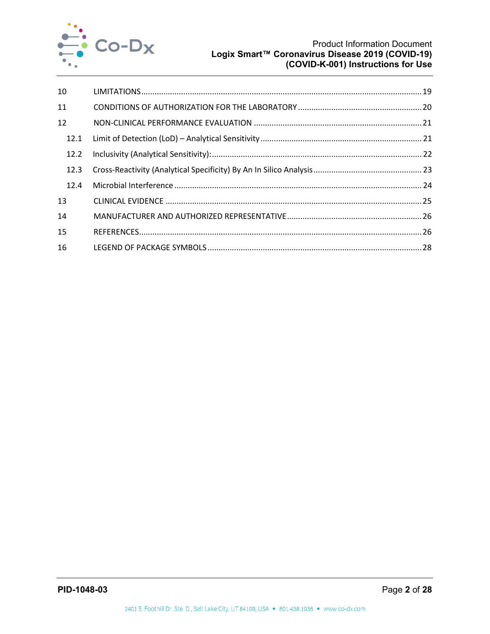

| 10   |  |
|------|--|
| 11   |  |
| 12   |  |
| 12.1 |  |
| 12.2 |  |
| 12.3 |  |
| 12.4 |  |
| 13   |  |
| 14   |  |
| 15   |  |
| 16   |  |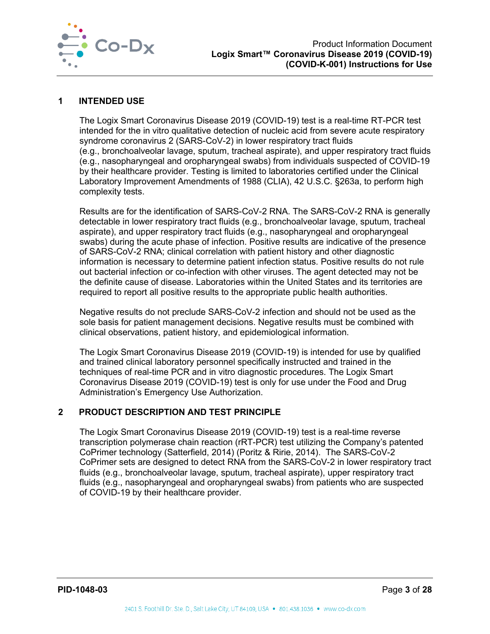

#### <span id="page-3-0"></span>**1 INTENDED USE**

The Logix Smart Coronavirus Disease 2019 (COVID-19) test is a real-time RT-PCR test intended for the in vitro qualitative detection of nucleic acid from severe acute respiratory syndrome coronavirus 2 (SARS-CoV-2) in lower respiratory tract fluids (e.g., bronchoalveolar lavage, sputum, tracheal aspirate), and upper respiratory tract fluids (e.g., nasopharyngeal and oropharyngeal swabs) from individuals suspected of COVID-19 by their healthcare provider. Testing is limited to laboratories certified under the Clinical Laboratory Improvement Amendments of 1988 (CLIA), 42 U.S.C. §263a, to perform high complexity tests.

Results are for the identification of SARS-CoV-2 RNA. The SARS-CoV-2 RNA is generally detectable in lower respiratory tract fluids (e.g., bronchoalveolar lavage, sputum, tracheal aspirate), and upper respiratory tract fluids (e.g., nasopharyngeal and oropharyngeal swabs) during the acute phase of infection. Positive results are indicative of the presence of SARS-CoV-2 RNA; clinical correlation with patient history and other diagnostic information is necessary to determine patient infection status. Positive results do not rule out bacterial infection or co-infection with other viruses. The agent detected may not be the definite cause of disease. Laboratories within the United States and its territories are required to report all positive results to the appropriate public health authorities.

Negative results do not preclude SARS-CoV-2 infection and should not be used as the sole basis for patient management decisions. Negative results must be combined with clinical observations, patient history, and epidemiological information.

The Logix Smart Coronavirus Disease 2019 (COVID-19) is intended for use by qualified and trained clinical laboratory personnel specifically instructed and trained in the techniques of real-time PCR and in vitro diagnostic procedures. The Logix Smart Coronavirus Disease 2019 (COVID-19) test is only for use under the Food and Drug Administration's Emergency Use Authorization.

## <span id="page-3-1"></span>**2 PRODUCT DESCRIPTION AND TEST PRINCIPLE**

The Logix Smart Coronavirus Disease 2019 (COVID-19) test is a real-time reverse transcription polymerase chain reaction (rRT-PCR) test utilizing the Company's patented CoPrimer technology (Satterfield, 2014) (Poritz & Ririe, 2014). The SARS-CoV-2 CoPrimer sets are designed to detect RNA from the SARS-CoV-2 in lower respiratory tract fluids (e.g., bronchoalveolar lavage, sputum, tracheal aspirate), upper respiratory tract fluids (e.g., nasopharyngeal and oropharyngeal swabs) from patients who are suspected of COVID-19 by their healthcare provider.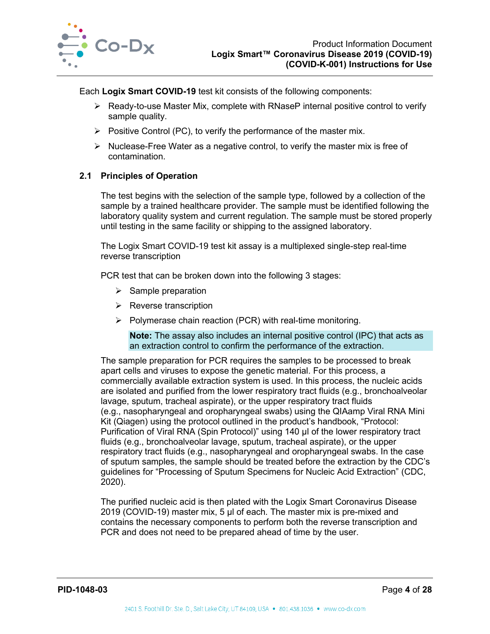

Each **Logix Smart COVID-19** test kit consists of the following components:

- $\triangleright$  Ready-to-use Master Mix, complete with RNaseP internal positive control to verify sample quality.
- $\triangleright$  Positive Control (PC), to verify the performance of the master mix.
- $\triangleright$  Nuclease-Free Water as a negative control, to verify the master mix is free of contamination.

#### <span id="page-4-0"></span>**2.1 Principles of Operation**

The test begins with the selection of the sample type, followed by a collection of the sample by a trained healthcare provider. The sample must be identified following the laboratory quality system and current regulation. The sample must be stored properly until testing in the same facility or shipping to the assigned laboratory.

The Logix Smart COVID-19 test kit assay is a multiplexed single-step real-time reverse transcription

PCR test that can be broken down into the following 3 stages:

- $\triangleright$  Sample preparation
- $\triangleright$  Reverse transcription
- $\triangleright$  Polymerase chain reaction (PCR) with real-time monitoring.

**Note:** The assay also includes an internal positive control (IPC) that acts as an extraction control to confirm the performance of the extraction.

The sample preparation for PCR requires the samples to be processed to break apart cells and viruses to expose the genetic material. For this process, a commercially available extraction system is used. In this process, the nucleic acids are isolated and purified from the lower respiratory tract fluids (e.g., bronchoalveolar lavage, sputum, tracheal aspirate), or the upper respiratory tract fluids (e.g., nasopharyngeal and oropharyngeal swabs) using the QIAamp Viral RNA Mini Kit (Qiagen) using the protocol outlined in the product's handbook, "Protocol: Purification of Viral RNA (Spin Protocol)" using 140 µl of the lower respiratory tract fluids (e.g., bronchoalveolar lavage, sputum, tracheal aspirate), or the upper respiratory tract fluids (e.g., nasopharyngeal and oropharyngeal swabs. In the case of sputum samples, the sample should be treated before the extraction by the CDC's guidelines for "Processing of Sputum Specimens for Nucleic Acid Extraction" (CDC, 2020).

The purified nucleic acid is then plated with the Logix Smart Coronavirus Disease 2019 (COVID-19) master mix, 5 µl of each. The master mix is pre-mixed and contains the necessary components to perform both the reverse transcription and PCR and does not need to be prepared ahead of time by the user.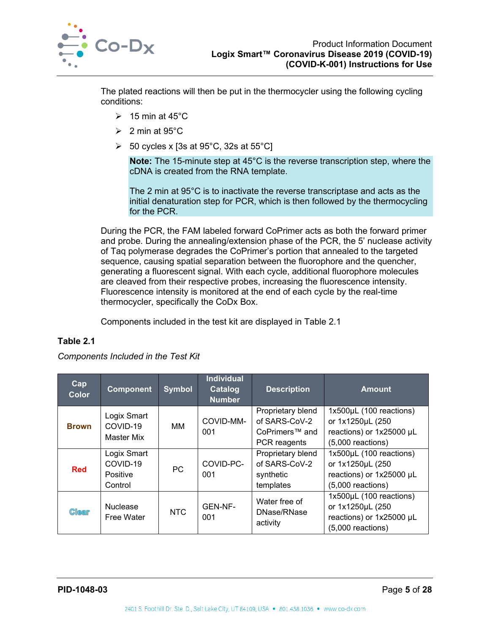

The plated reactions will then be put in the thermocycler using the following cycling conditions:

- $\geqslant$  15 min at 45°C
- $\geqslant$  2 min at 95°C
- $\geq$  50 cycles x [3s at 95°C, 32s at 55°C]

**Note:** The 15-minute step at 45°C is the reverse transcription step, where the cDNA is created from the RNA template.

The 2 min at 95°C is to inactivate the reverse transcriptase and acts as the initial denaturation step for PCR, which is then followed by the thermocycling for the PCR.

During the PCR, the FAM labeled forward CoPrimer acts as both the forward primer and probe. During the annealing/extension phase of the PCR, the 5' nuclease activity of Taq polymerase degrades the CoPrimer's portion that annealed to the targeted sequence, causing spatial separation between the fluorophore and the quencher, generating a fluorescent signal. With each cycle, additional fluorophore molecules are cleaved from their respective probes, increasing the fluorescence intensity. Fluorescence intensity is monitored at the end of each cycle by the real-time thermocycler, specifically the CoDx Box.

Components included in the test kit are displayed in [Table 2.1](#page-5-0)

## <span id="page-5-0"></span>**Table 2.1**

*Components Included in the Test Kit*

| Cap <br>Color | <b>Component</b>                               | <b>Symbol</b> | <b>Individual</b><br>Catalog<br><b>Number</b> | <b>Description</b>                                                   | <b>Amount</b>                                                                                  |
|---------------|------------------------------------------------|---------------|-----------------------------------------------|----------------------------------------------------------------------|------------------------------------------------------------------------------------------------|
| <b>Brown</b>  | Logix Smart<br>COVID-19<br>Master Mix          | MМ            | COVID-MM-<br>001                              | Proprietary blend<br>of SARS-CoV-2<br>CoPrimers™ and<br>PCR reagents | 1x500µL (100 reactions)<br>or 1x1250µL (250<br>reactions) or 1x25000 µL<br>$(5,000$ reactions) |
| <b>Red</b>    | Logix Smart<br>COVID-19<br>Positive<br>Control | <b>PC</b>     | COVID-PC-<br>001                              | Proprietary blend<br>of SARS-CoV-2<br>synthetic<br>templates         | 1x500µL (100 reactions)<br>or 1x1250µL (250<br>reactions) or 1x25000 µL<br>$(5,000$ reactions) |
| <b>Clear</b>  | <b>Nuclease</b><br>Free Water                  | <b>NTC</b>    | GEN-NF-<br>001                                | Water free of<br>DNase/RNase<br>activity                             | 1x500µL (100 reactions)<br>or 1x1250µL (250<br>reactions) or 1x25000 µL<br>$(5,000$ reactions) |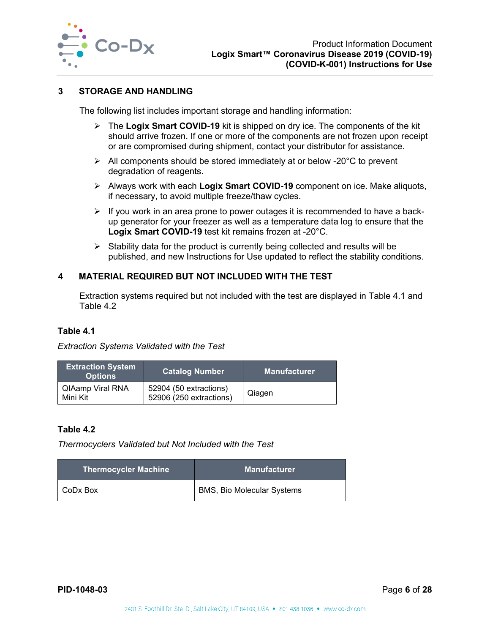

## <span id="page-6-0"></span>**3 STORAGE AND HANDLING**

The following list includes important storage and handling information:

- The **Logix Smart COVID-19** kit is shipped on dry ice. The components of the kit should arrive frozen. If one or more of the components are not frozen upon receipt or are compromised during shipment, contact your distributor for assistance.
- $\triangleright$  All components should be stored immediately at or below -20 $^{\circ}$ C to prevent degradation of reagents.
- Always work with each **Logix Smart COVID-19** component on ice. Make aliquots, if necessary, to avoid multiple freeze/thaw cycles.
- $\triangleright$  If you work in an area prone to power outages it is recommended to have a backup generator for your freezer as well as a temperature data log to ensure that the **Logix Smart COVID-19** test kit remains frozen at -20°C.
- $\triangleright$  Stability data for the product is currently being collected and results will be published, and new Instructions for Use updated to reflect the stability conditions.

## <span id="page-6-1"></span>**4 MATERIAL REQUIRED BUT NOT INCLUDED WITH THE TEST**

Extraction systems required but not included with the test are displayed in [Table 4.1](#page-6-2) and [Table 4.2](#page-6-3)

#### <span id="page-6-2"></span>**Table 4.1**

#### *Extraction Systems Validated with the Test*

| <b>Extraction System</b><br><b>Options</b> | <b>Catalog Number</b>                             | <b>Manufacturer</b> |  |
|--------------------------------------------|---------------------------------------------------|---------------------|--|
| <b>QIAamp Viral RNA</b><br>Mini Kit        | 52904 (50 extractions)<br>52906 (250 extractions) | Qiagen              |  |

#### <span id="page-6-3"></span>**Table 4.2**

*Thermocyclers Validated but Not Included with the Test*

| <b>Thermocycler Machine</b> | <b>Manufacturer</b>               |  |  |
|-----------------------------|-----------------------------------|--|--|
| I CoDx Box                  | <b>BMS, Bio Molecular Systems</b> |  |  |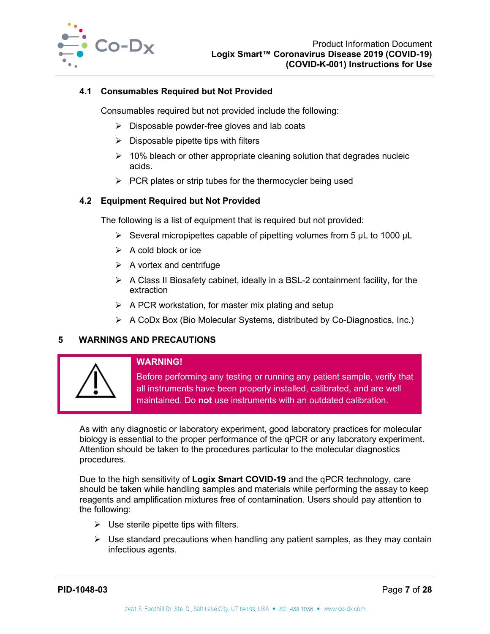

#### <span id="page-7-0"></span>**4.1 Consumables Required but Not Provided**

Consumables required but not provided include the following:

- $\triangleright$  Disposable powder-free gloves and lab coats
- $\triangleright$  Disposable pipette tips with filters
- $\geq$  10% bleach or other appropriate cleaning solution that degrades nucleic acids.
- $\triangleright$  PCR plates or strip tubes for the thermocycler being used

#### <span id="page-7-1"></span>**4.2 Equipment Required but Not Provided**

The following is a list of equipment that is required but not provided:

- $\triangleright$  Several micropipettes capable of pipetting volumes from 5 µL to 1000 µL
- $\triangleright$  A cold block or ice
- $\triangleright$  A vortex and centrifuge
- $\triangleright$  A Class II Biosafety cabinet, ideally in a BSL-2 containment facility, for the extraction
- $\triangleright$  A PCR workstation, for master mix plating and setup
- $\triangleright$  A CoDx Box (Bio Molecular Systems, distributed by Co-Diagnostics, Inc.)

## <span id="page-7-2"></span>**5 WARNINGS AND PRECAUTIONS**



#### **WARNING!**

Before performing any testing or running any patient sample, verify that all instruments have been properly installed, calibrated, and are well maintained. Do **not** use instruments with an outdated calibration.

As with any diagnostic or laboratory experiment, good laboratory practices for molecular biology is essential to the proper performance of the qPCR or any laboratory experiment. Attention should be taken to the procedures particular to the molecular diagnostics procedures.

Due to the high sensitivity of **Logix Smart COVID-19** and the qPCR technology, care should be taken while handling samples and materials while performing the assay to keep reagents and amplification mixtures free of contamination. Users should pay attention to the following:

- $\triangleright$  Use sterile pipette tips with filters.
- $\triangleright$  Use standard precautions when handling any patient samples, as they may contain infectious agents.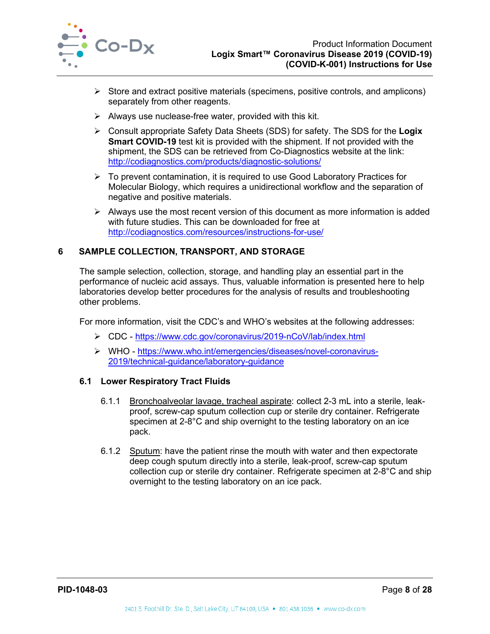

- $\triangleright$  Store and extract positive materials (specimens, positive controls, and amplicons) separately from other reagents.
- $\triangleright$  Always use nuclease-free water, provided with this kit.
- Consult appropriate Safety Data Sheets (SDS) for safety. The SDS for the **Logix Smart COVID-19** test kit is provided with the shipment. If not provided with the shipment, the SDS can be retrieved from Co-Diagnostics website at the link: <http://codiagnostics.com/products/diagnostic-solutions/>
- $\triangleright$  To prevent contamination, it is required to use Good Laboratory Practices for Molecular Biology, which requires a unidirectional workflow and the separation of negative and positive materials.
- $\triangleright$  Always use the most recent version of this document as more information is added with future studies. This can be downloaded for free at <http://codiagnostics.com/resources/instructions-for-use/>

## <span id="page-8-0"></span>**6 SAMPLE COLLECTION, TRANSPORT, AND STORAGE**

The sample selection, collection, storage, and handling play an essential part in the performance of nucleic acid assays. Thus, valuable information is presented here to help laboratories develop better procedures for the analysis of results and troubleshooting other problems.

For more information, visit the CDC's and WHO's websites at the following addresses:

- CDC <https://www.cdc.gov/coronavirus/2019-nCoV/lab/index.html>
- WHO [https://www.who.int/emergencies/diseases/novel-coronavirus-](https://www.who.int/emergencies/diseases/novel-coronavirus-2019/technical-guidance/laboratory-guidance)[2019/technical-guidance/laboratory-guidance](https://www.who.int/emergencies/diseases/novel-coronavirus-2019/technical-guidance/laboratory-guidance)

## <span id="page-8-1"></span>**6.1 Lower Respiratory Tract Fluids**

- 6.1.1 Bronchoalveolar lavage, tracheal aspirate: collect 2-3 mL into a sterile, leakproof, screw-cap sputum collection cup or sterile dry container. Refrigerate specimen at 2-8°C and ship overnight to the testing laboratory on an ice pack.
- 6.1.2 Sputum: have the patient rinse the mouth with water and then expectorate deep cough sputum directly into a sterile, leak-proof, screw-cap sputum collection cup or sterile dry container. Refrigerate specimen at 2-8°C and ship overnight to the testing laboratory on an ice pack.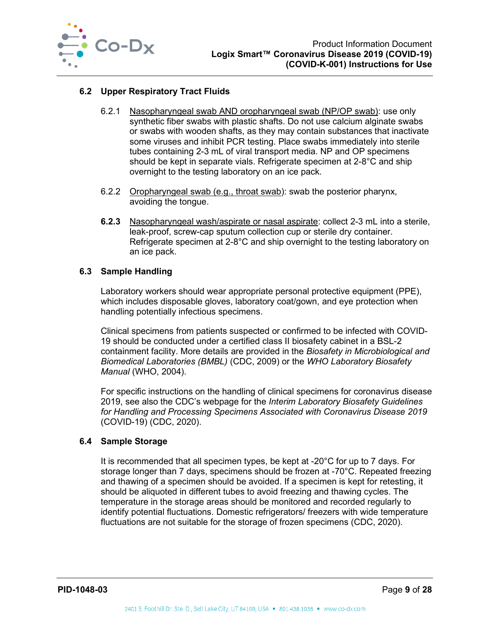

## <span id="page-9-0"></span>**6.2 Upper Respiratory Tract Fluids**

- 6.2.1 Nasopharyngeal swab AND oropharyngeal swab (NP/OP swab): use only synthetic fiber swabs with plastic shafts. Do not use calcium alginate swabs or swabs with wooden shafts, as they may contain substances that inactivate some viruses and inhibit PCR testing. Place swabs immediately into sterile tubes containing 2-3 mL of viral transport media. NP and OP specimens should be kept in separate vials. Refrigerate specimen at 2-8°C and ship overnight to the testing laboratory on an ice pack.
- 6.2.2 Oropharyngeal swab (e.g., throat swab): swab the posterior pharynx, avoiding the tongue.
- **6.2.3** Nasopharyngeal wash/aspirate or nasal aspirate: collect 2-3 mL into a sterile, leak-proof, screw-cap sputum collection cup or sterile dry container. Refrigerate specimen at 2-8°C and ship overnight to the testing laboratory on an ice pack.

#### <span id="page-9-1"></span>**6.3 Sample Handling**

Laboratory workers should wear appropriate personal protective equipment (PPE), which includes disposable gloves, laboratory coat/gown, and eye protection when handling potentially infectious specimens.

Clinical specimens from patients suspected or confirmed to be infected with COVID-19 should be conducted under a certified class II biosafety cabinet in a BSL-2 containment facility. More details are provided in the *Biosafety in Microbiological and Biomedical Laboratories (BMBL)* (CDC, 2009) or the *WHO Laboratory Biosafety Manual* (WHO, 2004).

For specific instructions on the handling of clinical specimens for coronavirus disease 2019, see also the CDC's webpage for the *Interim Laboratory Biosafety Guidelines for Handling and Processing Specimens Associated with Coronavirus Disease 2019* (COVID-19) (CDC, 2020).

#### <span id="page-9-2"></span>**6.4 Sample Storage**

It is recommended that all specimen types, be kept at -20°C for up to 7 days. For storage longer than 7 days, specimens should be frozen at -70°C. Repeated freezing and thawing of a specimen should be avoided. If a specimen is kept for retesting, it should be aliquoted in different tubes to avoid freezing and thawing cycles. The temperature in the storage areas should be monitored and recorded regularly to identify potential fluctuations. Domestic refrigerators/ freezers with wide temperature fluctuations are not suitable for the storage of frozen specimens (CDC, 2020).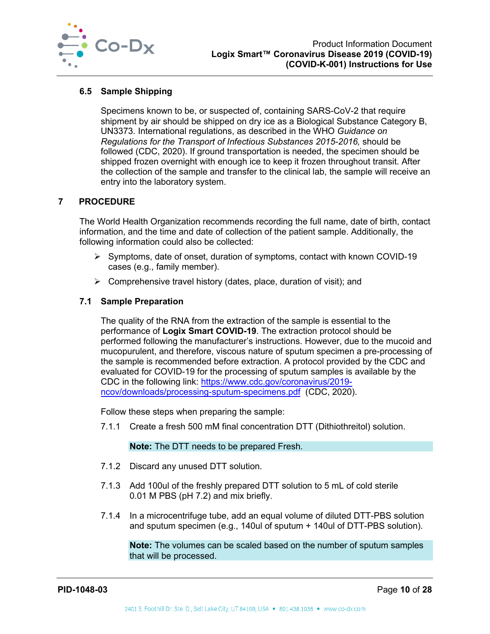

## <span id="page-10-0"></span>**6.5 Sample Shipping**

Specimens known to be, or suspected of, containing SARS-CoV-2 that require shipment by air should be shipped on dry ice as a Biological Substance Category B, UN3373. International regulations, as described in the WHO *Guidance on Regulations for the Transport of Infectious Substances 2015-2016,* should be followed (CDC, 2020). If ground transportation is needed, the specimen should be shipped frozen overnight with enough ice to keep it frozen throughout transit. After the collection of the sample and transfer to the clinical lab, the sample will receive an entry into the laboratory system.

#### <span id="page-10-1"></span>**7 PROCEDURE**

The World Health Organization recommends recording the full name, date of birth, contact information, and the time and date of collection of the patient sample. Additionally, the following information could also be collected:

- Symptoms, date of onset, duration of symptoms, contact with known COVID-19 cases (e.g., family member).
- $\triangleright$  Comprehensive travel history (dates, place, duration of visit); and

#### <span id="page-10-2"></span>**7.1 Sample Preparation**

The quality of the RNA from the extraction of the sample is essential to the performance of **Logix Smart COVID-19**. The extraction protocol should be performed following the manufacturer's instructions. However, due to the mucoid and mucopurulent, and therefore, viscous nature of sputum specimen a pre-processing of the sample is recommended before extraction. A protocol provided by the CDC and evaluated for COVID-19 for the processing of sputum samples is available by the CDC in the following link: [https://www.cdc.gov/coronavirus/2019](https://www.cdc.gov/coronavirus/2019-ncov/downloads/processing-sputum-specimens.pdf) [ncov/downloads/processing-sputum-specimens.pdf](https://www.cdc.gov/coronavirus/2019-ncov/downloads/processing-sputum-specimens.pdf) (CDC, 2020).

Follow these steps when preparing the sample:

7.1.1 Create a fresh 500 mM final concentration DTT (Dithiothreitol) solution.

#### **Note:** The DTT needs to be prepared Fresh.

- 7.1.2 Discard any unused DTT solution.
- 7.1.3 Add 100ul of the freshly prepared DTT solution to 5 mL of cold sterile 0.01 M PBS (pH 7.2) and mix briefly.
- 7.1.4 In a microcentrifuge tube, add an equal volume of diluted DTT-PBS solution and sputum specimen (e.g., 140ul of sputum + 140ul of DTT-PBS solution).

**Note:** The volumes can be scaled based on the number of sputum samples that will be processed.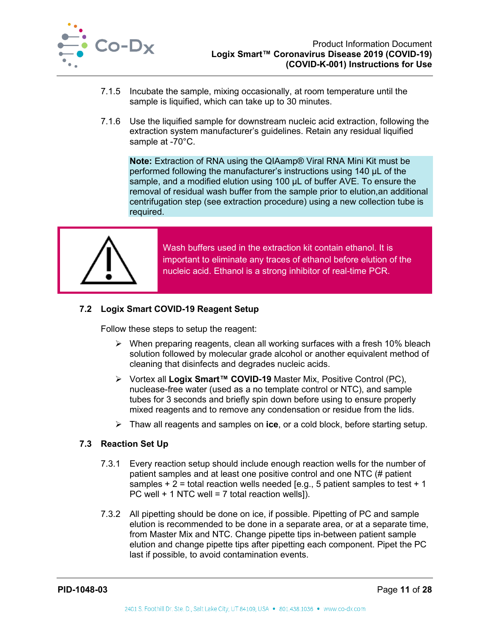

- 7.1.5 Incubate the sample, mixing occasionally, at room temperature until the sample is liquified, which can take up to 30 minutes.
- 7.1.6 Use the liquified sample for downstream nucleic acid extraction, following the extraction system manufacturer's guidelines. Retain any residual liquified sample at -70°C.

**Note:** Extraction of RNA using the QIAamp® Viral RNA Mini Kit must be performed following the manufacturer's instructions using 140 µL of the sample, and a modified elution using 100 µL of buffer AVE. To ensure the removal of residual wash buffer from the sample prior to elution,an additional centrifugation step (see extraction procedure) using a new collection tube is required.



Wash buffers used in the extraction kit contain ethanol. It is important to eliminate any traces of ethanol before elution of the nucleic acid. Ethanol is a strong inhibitor of real-time PCR.

## <span id="page-11-0"></span>**7.2 Logix Smart COVID-19 Reagent Setup**

Follow these steps to setup the reagent:

- $\triangleright$  When preparing reagents, clean all working surfaces with a fresh 10% bleach solution followed by molecular grade alcohol or another equivalent method of cleaning that disinfects and degrades nucleic acids.
- Vortex all **Logix Smart™ COVID-19** Master Mix, Positive Control (PC), nuclease-free water (used as a no template control or NTC), and sample tubes for 3 seconds and briefly spin down before using to ensure properly mixed reagents and to remove any condensation or residue from the lids.
- Thaw all reagents and samples on **ice**, or a cold block, before starting setup.

## <span id="page-11-1"></span>**7.3 Reaction Set Up**

- 7.3.1 Every reaction setup should include enough reaction wells for the number of patient samples and at least one positive control and one NTC (# patient samples  $+ 2 =$  total reaction wells needed [e.g., 5 patient samples to test  $+ 1$ PC well  $+$  1 NTC well = 7 total reaction wells]).
- 7.3.2 All pipetting should be done on ice, if possible. Pipetting of PC and sample elution is recommended to be done in a separate area, or at a separate time, from Master Mix and NTC. Change pipette tips in-between patient sample elution and change pipette tips after pipetting each component. Pipet the PC last if possible, to avoid contamination events.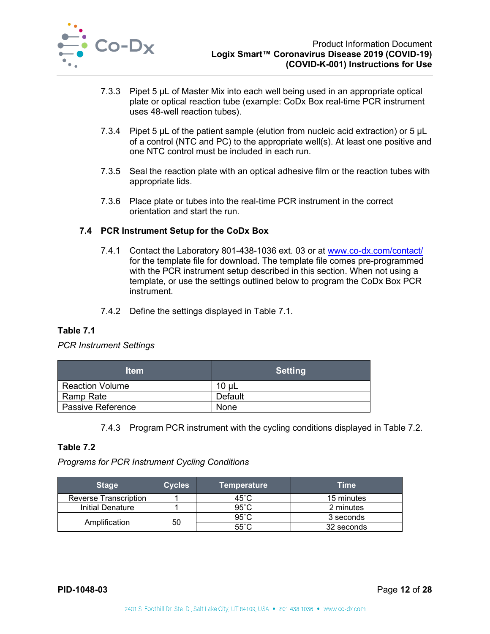

- 7.3.3 Pipet 5 µL of Master Mix into each well being used in an appropriate optical plate or optical reaction tube (example: CoDx Box real-time PCR instrument uses 48-well reaction tubes).
- 7.3.4 Pipet 5 µL of the patient sample (elution from nucleic acid extraction) or 5 µL of a control (NTC and PC) to the appropriate well(s). At least one positive and one NTC control must be included in each run.
- 7.3.5 Seal the reaction plate with an optical adhesive film or the reaction tubes with appropriate lids.
- 7.3.6 Place plate or tubes into the real-time PCR instrument in the correct orientation and start the run.

## <span id="page-12-0"></span>**7.4 PCR Instrument Setup for the CoDx Box**

- 7.4.1 Contact the Laboratory 801-438-1036 ext. 03 or at [www.co-dx.com/contact/](http://www.co-dx.com/contact/) for the template file for download. The template file comes pre-programmed with the PCR instrument setup described in this section. When not using a template, or use the settings outlined below to program the CoDx Box PCR instrument.
- 7.4.2 Define the settings displayed in [Table 7.1.](#page-12-1)

## <span id="page-12-1"></span>**Table 7.1**

## *PCR Instrument Settings*

| <b>Item</b>              | <b>Setting</b> |
|--------------------------|----------------|
| <b>Reaction Volume</b>   | $10 \mu L$     |
| <b>Ramp Rate</b>         | Default        |
| <b>Passive Reference</b> | <b>None</b>    |

7.4.3 Program PCR instrument with the cycling conditions displayed in [Table 7.2.](#page-12-2)

## <span id="page-12-2"></span>**Table 7.2**

*Programs for PCR Instrument Cycling Conditions*

| <b>Stage</b>                 | <b>Cycles</b>       | <b>Temperature</b> | Time       |
|------------------------------|---------------------|--------------------|------------|
| <b>Reverse Transcription</b> |                     | 45°C               | 15 minutes |
| <b>Initial Denature</b>      |                     | $95^{\circ}$ C     | 2 minutes  |
|                              | 50<br>Amplification | $95^{\circ}$ C     | 3 seconds  |
|                              |                     | $55^{\circ}$ C     | 32 seconds |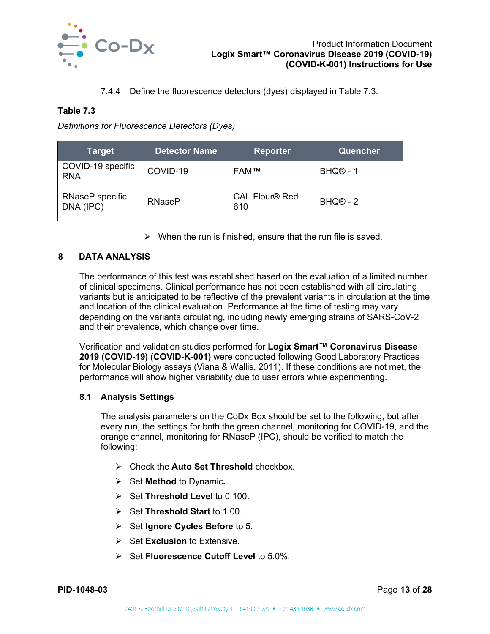

7.4.4 Define the fluorescence detectors (dyes) displayed in [Table 7.3.](#page-13-2)

## <span id="page-13-2"></span>**Table 7.3**

*Definitions for Fluorescence Detectors (Dyes)*

| Target                          | <b>Detector Name</b> | <b>Reporter</b>              | Quencher             |
|---------------------------------|----------------------|------------------------------|----------------------|
| COVID-19 specific<br><b>RNA</b> | COVID-19             | <b>FAM™</b>                  | BHQ <sup>®</sup> - 1 |
| RNaseP specific<br>DNA (IPC)    | <b>RNaseP</b>        | <b>CAL Flour® Red</b><br>610 | $BHQ@ - 2$           |

 $\triangleright$  When the run is finished, ensure that the run file is saved.

## <span id="page-13-0"></span>**8 DATA ANALYSIS**

The performance of this test was established based on the evaluation of a limited number of clinical specimens. Clinical performance has not been established with all circulating variants but is anticipated to be reflective of the prevalent variants in circulation at the time and location of the clinical evaluation. Performance at the time of testing may vary depending on the variants circulating, including newly emerging strains of SARS-CoV-2 and their prevalence, which change over time.

Verification and validation studies performed for **Logix Smart™ Coronavirus Disease 2019 (COVID-19) (COVID-K-001)** were conducted following Good Laboratory Practices for Molecular Biology assays (Viana & Wallis, 2011). If these conditions are not met, the performance will show higher variability due to user errors while experimenting.

## <span id="page-13-1"></span>**8.1 Analysis Settings**

The analysis parameters on the CoDx Box should be set to the following, but after every run, the settings for both the green channel, monitoring for COVID-19, and the orange channel, monitoring for RNaseP (IPC), should be verified to match the following:

- Check the **Auto Set Threshold** checkbox.
- **►** Set **Method** to Dynamic.
- Set **Threshold Level** to 0.100.
- **► Set Threshold Start** to 1.00.
- **►** Set **Ignore Cycles Before** to 5.
- **►** Set **Exclusion** to Extensive.
- Set **Fluorescence Cutoff Level** to 5.0%.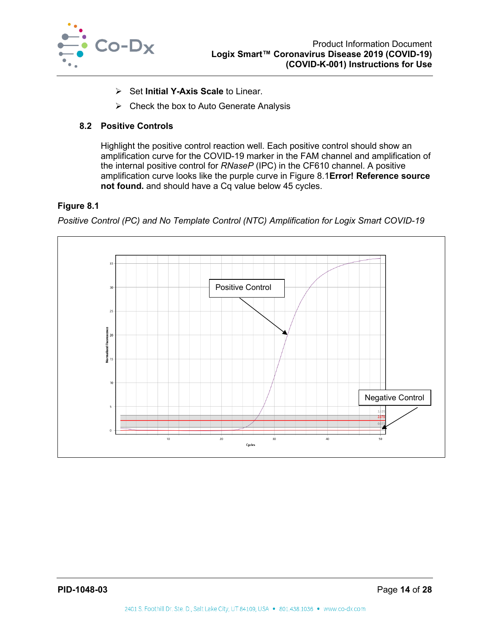

- Set **Initial Y-Axis Scale** to Linear.
- $\triangleright$  Check the box to Auto Generate Analysis

## <span id="page-14-0"></span>**8.2 Positive Controls**

Highlight the positive control reaction well. Each positive control should show an amplification curve for the COVID-19 marker in the FAM channel and amplification of the internal positive control for *RNaseP* (IPC) in the CF610 channel. A positive amplification curve looks like the purple curve in [Figure 8.1](#page-14-1)**Error! Reference source not found.** and should have a Cq value below 45 cycles.

#### <span id="page-14-1"></span>**Figure 8.1**

*Positive Control (PC) and No Template Control (NTC) Amplification for Logix Smart COVID-19*

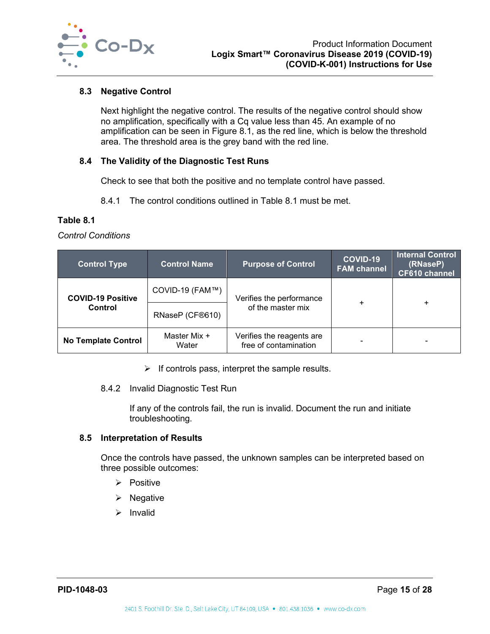

## <span id="page-15-0"></span>**8.3 Negative Control**

Next highlight the negative control. The results of the negative control should show no amplification, specifically with a Cq value less than 45. An example of no amplification can be seen in [Figure 8.1,](#page-14-1) as the red line, which is below the threshold area. The threshold area is the grey band with the red line.

## <span id="page-15-1"></span>**8.4 The Validity of the Diagnostic Test Runs**

Check to see that both the positive and no template control have passed.

8.4.1 The control conditions outlined in [Table 8.1](#page-15-3) must be met.

## <span id="page-15-3"></span>**Table 8.1**

*Control Conditions*

| <b>Control Type</b>        | <b>Control Name</b>   | <b>Purpose of Control</b>                          | COVID-19<br><b>FAM channel</b> | <b>Internal Control</b><br>(RNaseP)<br><b>CF610 channel</b> |
|----------------------------|-----------------------|----------------------------------------------------|--------------------------------|-------------------------------------------------------------|
| <b>COVID-19 Positive</b>   | COVID-19 (FAM™)       | Verifies the performance                           | $\ddot{}$                      | $\ddot{}$                                                   |
| Control                    | RNaseP (CF®610)       | of the master mix                                  |                                |                                                             |
| <b>No Template Control</b> | Master Mix +<br>Water | Verifies the reagents are<br>free of contamination |                                | -                                                           |

 $\triangleright$  If controls pass, interpret the sample results.

#### 8.4.2 Invalid Diagnostic Test Run

If any of the controls fail, the run is invalid. Document the run and initiate troubleshooting.

## <span id="page-15-2"></span>**8.5 Interpretation of Results**

Once the controls have passed, the unknown samples can be interpreted based on three possible outcomes:

- $\triangleright$  Positive
- $\triangleright$  Negative
- $\triangleright$  Invalid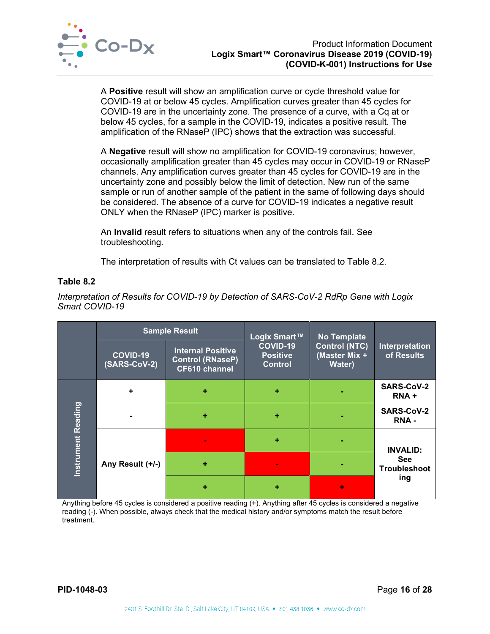

A **Positive** result will show an amplification curve or cycle threshold value for COVID-19 at or below 45 cycles. Amplification curves greater than 45 cycles for COVID-19 are in the uncertainty zone. The presence of a curve, with a Cq at or below 45 cycles, for a sample in the COVID-19, indicates a positive result. The amplification of the RNaseP (IPC) shows that the extraction was successful.

A **Negative** result will show no amplification for COVID-19 coronavirus; however, occasionally amplification greater than 45 cycles may occur in COVID-19 or RNaseP channels. Any amplification curves greater than 45 cycles for COVID-19 are in the uncertainty zone and possibly below the limit of detection. New run of the same sample or run of another sample of the patient in the same of following days should be considered. The absence of a curve for COVID-19 indicates a negative result ONLY when the RNaseP (IPC) marker is positive.

An **Invalid** result refers to situations when any of the controls fail. See troubleshooting.

The interpretation of results with Ct values can be translated to [Table 8.2.](#page-16-0)

## <span id="page-16-0"></span>**Table 8.2**

*Interpretation of Results for COVID-19 by Detection of SARS-CoV-2 RdRp Gene with Logix Smart COVID-19*

|            |                          | <b>Sample Result</b>                                                        | Logix Smart™                                  | <b>No Template</b>                              |                                   |  |
|------------|--------------------------|-----------------------------------------------------------------------------|-----------------------------------------------|-------------------------------------------------|-----------------------------------|--|
|            | COVID-19<br>(SARS-CoV-2) | <b>Internal Positive</b><br><b>Control (RNaseP)</b><br><b>CF610 channel</b> | COVID-19<br><b>Positive</b><br><b>Control</b> | <b>Control (NTC)</b><br>(Master Mix +<br>Water) | Interpretation<br>of Results      |  |
|            | ٠                        | ÷                                                                           | ÷                                             |                                                 | <b>SARS-CoV-2</b><br>RNA+         |  |
| Reading    | ÷                        |                                                                             | ٠                                             |                                                 | <b>SARS-CoV-2</b><br><b>RNA-</b>  |  |
| Instrument |                          |                                                                             | ٠                                             |                                                 | <b>INVALID:</b>                   |  |
|            | Any Result (+/-)         | ٠                                                                           |                                               |                                                 | <b>See</b><br><b>Troubleshoot</b> |  |
|            |                          |                                                                             | ٠                                             | ۰                                               | ing                               |  |

Anything before 45 cycles is considered a positive reading (+). Anything after 45 cycles is considered a negative reading (-). When possible, always check that the medical history and/or symptoms match the result before treatment.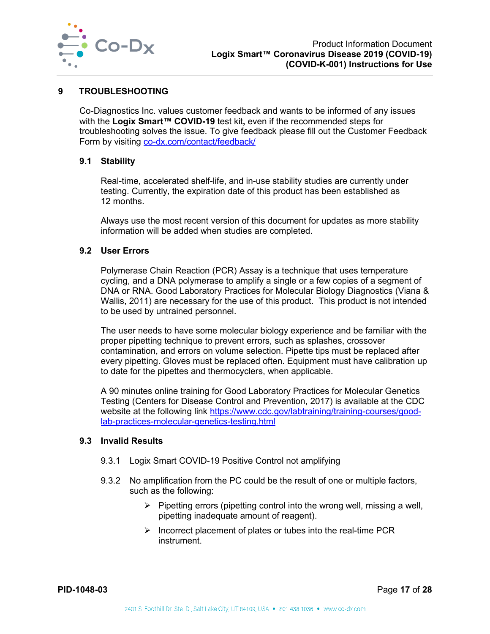

#### <span id="page-17-0"></span>**9 TROUBLESHOOTING**

Co-Diagnostics Inc. values customer feedback and wants to be informed of any issues with the **Logix Smart™ COVID-19** test kit**,** even if the recommended steps for troubleshooting solves the issue. To give feedback please fill out the Customer Feedback Form by visiting co-dx.com/contact/feedback/

#### <span id="page-17-1"></span>**9.1 Stability**

Real-time, accelerated shelf-life, and in-use stability studies are currently under testing. Currently, the expiration date of this product has been established as 12 months.

Always use the most recent version of this document for updates as more stability information will be added when studies are completed.

#### <span id="page-17-2"></span>**9.2 User Errors**

Polymerase Chain Reaction (PCR) Assay is a technique that uses temperature cycling, and a DNA polymerase to amplify a single or a few copies of a segment of DNA or RNA. Good Laboratory Practices for Molecular Biology Diagnostics (Viana & Wallis, 2011) are necessary for the use of this product. This product is not intended to be used by untrained personnel.

The user needs to have some molecular biology experience and be familiar with the proper pipetting technique to prevent errors, such as splashes, crossover contamination, and errors on volume selection. Pipette tips must be replaced after every pipetting. Gloves must be replaced often. Equipment must have calibration up to date for the pipettes and thermocyclers, when applicable.

A 90 minutes online training for Good Laboratory Practices for Molecular Genetics Testing (Centers for Disease Control and Prevention, 2017) is available at the CDC website at the following link [https://www.cdc.gov/labtraining/training-courses/good](https://www.cdc.gov/labtraining/training-courses/good-lab-practices-molecular-genetics-testing.html)[lab-practices-molecular-genetics-testing.html](https://www.cdc.gov/labtraining/training-courses/good-lab-practices-molecular-genetics-testing.html)

#### <span id="page-17-3"></span>**9.3 Invalid Results**

- 9.3.1 Logix Smart COVID-19 Positive Control not amplifying
- 9.3.2 No amplification from the PC could be the result of one or multiple factors, such as the following:
	- $\triangleright$  Pipetting errors (pipetting control into the wrong well, missing a well, pipetting inadequate amount of reagent).
	- $\triangleright$  Incorrect placement of plates or tubes into the real-time PCR instrument.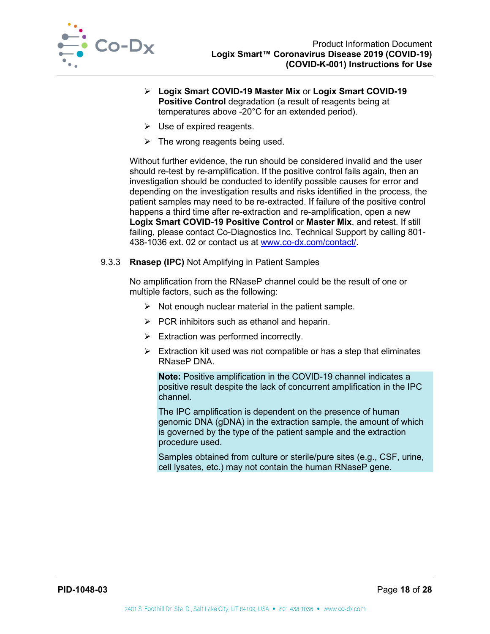

- **Logix Smart COVID-19 Master Mix** or **Logix Smart COVID-19 Positive Control** degradation (a result of reagents being at temperatures above -20°C for an extended period).
- $\triangleright$  Use of expired reagents.
- $\triangleright$  The wrong reagents being used.

Without further evidence, the run should be considered invalid and the user should re-test by re-amplification. If the positive control fails again, then an investigation should be conducted to identify possible causes for error and depending on the investigation results and risks identified in the process, the patient samples may need to be re-extracted. If failure of the positive control happens a third time after re-extraction and re-amplification, open a new **Logix Smart COVID-19 Positive Control** or **Master Mix**, and retest. If still failing, please contact Co-Diagnostics Inc. Technical Support by calling 801- 438-1036 ext. 02 or contact us at [www.co-dx.com/contact/.](http://www.co-dx.com/contact/)

#### 9.3.3 **Rnasep (IPC)** Not Amplifying in Patient Samples

No amplification from the RNaseP channel could be the result of one or multiple factors, such as the following:

- $\triangleright$  Not enough nuclear material in the patient sample.
- $\triangleright$  PCR inhibitors such as ethanol and heparin.
- $\triangleright$  Extraction was performed incorrectly.
- $\triangleright$  Extraction kit used was not compatible or has a step that eliminates RNaseP DNA.

**Note:** Positive amplification in the COVID-19 channel indicates a positive result despite the lack of concurrent amplification in the IPC channel.

The IPC amplification is dependent on the presence of human genomic DNA (gDNA) in the extraction sample, the amount of which is governed by the type of the patient sample and the extraction procedure used.

Samples obtained from culture or sterile/pure sites (e.g., CSF, urine, cell lysates, etc.) may not contain the human RNaseP gene.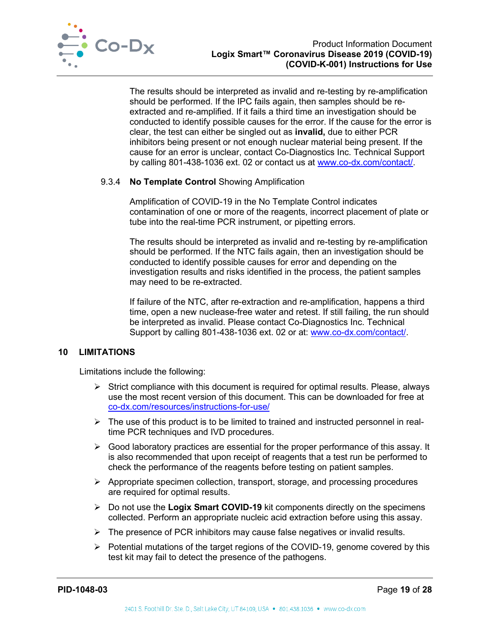

The results should be interpreted as invalid and re-testing by re-amplification should be performed. If the IPC fails again, then samples should be reextracted and re-amplified. If it fails a third time an investigation should be conducted to identify possible causes for the error. If the cause for the error is clear, the test can either be singled out as **invalid,** due to either PCR inhibitors being present or not enough nuclear material being present. If the cause for an error is unclear, contact Co-Diagnostics Inc. Technical Support by calling 801-438-1036 ext. 02 or contact us at [www.co-dx.com/contact/.](http://www.co-dx.com/contact/)

## 9.3.4 **No Template Control** Showing Amplification

Amplification of COVID-19 in the No Template Control indicates contamination of one or more of the reagents, incorrect placement of plate or tube into the real-time PCR instrument, or pipetting errors.

The results should be interpreted as invalid and re-testing by re-amplification should be performed. If the NTC fails again, then an investigation should be conducted to identify possible causes for error and depending on the investigation results and risks identified in the process, the patient samples may need to be re-extracted.

If failure of the NTC, after re-extraction and re-amplification, happens a third time, open a new nuclease-free water and retest. If still failing, the run should be interpreted as invalid. Please contact Co-Diagnostics Inc. Technical Support by calling 801-438-1036 ext. 02 or at: [www.co-dx.com/contact/.](http://www.co-dx.com/contact/)

## <span id="page-19-0"></span>**10 LIMITATIONS**

Limitations include the following:

- $\triangleright$  Strict compliance with this document is required for optimal results. Please, always use the most recent version of this document. This can be downloaded for free at co-dx.com/resources/instructions-for-use/
- $\triangleright$  The use of this product is to be limited to trained and instructed personnel in realtime PCR techniques and IVD procedures.
- $\triangleright$  Good laboratory practices are essential for the proper performance of this assay. It is also recommended that upon receipt of reagents that a test run be performed to check the performance of the reagents before testing on patient samples.
- $\triangleright$  Appropriate specimen collection, transport, storage, and processing procedures are required for optimal results.
- Do not use the **Logix Smart COVID-19** kit components directly on the specimens collected. Perform an appropriate nucleic acid extraction before using this assay.
- $\triangleright$  The presence of PCR inhibitors may cause false negatives or invalid results.
- $\triangleright$  Potential mutations of the target regions of the COVID-19, genome covered by this test kit may fail to detect the presence of the pathogens.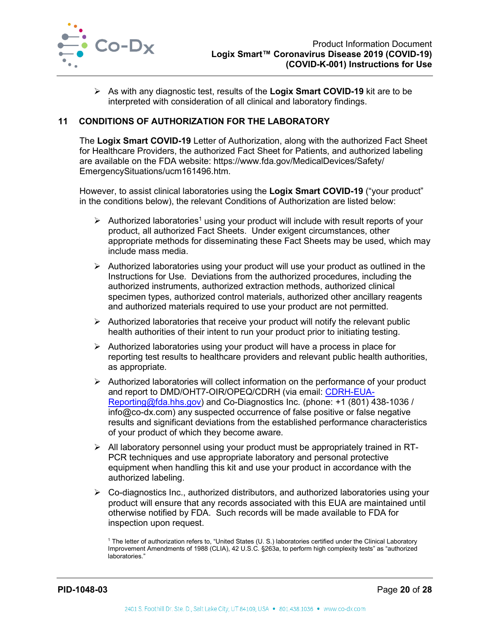

 As with any diagnostic test, results of the **Logix Smart COVID-19** kit are to be interpreted with consideration of all clinical and laboratory findings.

## <span id="page-20-0"></span>**11 CONDITIONS OF AUTHORIZATION FOR THE LABORATORY**

The **Logix Smart COVID-19** Letter of Authorization, along with the authorized Fact Sheet for Healthcare Providers, the authorized Fact Sheet for Patients, and authorized labeling are available on the FDA website: https://www.fda.gov/MedicalDevices/Safety/ EmergencySituations/ucm161496.htm.

However, to assist clinical laboratories using the **Logix Smart COVID-19** ("your product" in the conditions below), the relevant Conditions of Authorization are listed below:

- $\triangleright$  Authorized laboratories<sup>1</sup> using your product will include with result reports of your product, all authorized Fact Sheets. Under exigent circumstances, other appropriate methods for disseminating these Fact Sheets may be used, which may include mass media.
- $\triangleright$  Authorized laboratories using your product will use your product as outlined in the Instructions for Use. Deviations from the authorized procedures, including the authorized instruments, authorized extraction methods, authorized clinical specimen types, authorized control materials, authorized other ancillary reagents and authorized materials required to use your product are not permitted.
- $\triangleright$  Authorized laboratories that receive your product will notify the relevant public health authorities of their intent to run your product prior to initiating testing.
- $\triangleright$  Authorized laboratories using your product will have a process in place for reporting test results to healthcare providers and relevant public health authorities, as appropriate.
- $\triangleright$  Authorized laboratories will collect information on the performance of your product and report to DMD/OHT7-OIR/OPEQ/CDRH (via email: [CDRH-EUA-](mailto:CDRH-EUA-Reporting@fda.hhs.gov)[Reporting@fda.hhs.gov\)](mailto:CDRH-EUA-Reporting@fda.hhs.gov) and Co-Diagnostics Inc. (phone: +1 (801) 438-1036 / info@co-dx.com) any suspected occurrence of false positive or false negative results and significant deviations from the established performance characteristics of your product of which they become aware.
- $\triangleright$  All laboratory personnel using your product must be appropriately trained in RT-PCR techniques and use appropriate laboratory and personal protective equipment when handling this kit and use your product in accordance with the authorized labeling.
- Co-diagnostics Inc., authorized distributors, and authorized laboratories using your product will ensure that any records associated with this EUA are maintained until otherwise notified by FDA. Such records will be made available to FDA for inspection upon request.

<sup>1</sup> The letter of authorization refers to, "United States (U. S.) laboratories certified under the Clinical Laboratory Improvement Amendments of 1988 (CLIA), 42 U.S.C. §263a, to perform high complexity tests" as "authorized laboratories."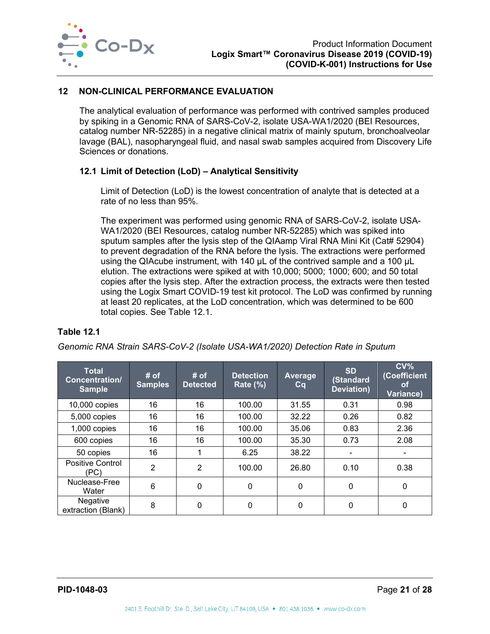

## <span id="page-21-0"></span>**12 NON-CLINICAL PERFORMANCE EVALUATION**

The analytical evaluation of performance was performed with contrived samples produced by spiking in a Genomic RNA of SARS-CoV-2, isolate USA-WA1/2020 (BEI Resources, catalog number NR-52285) in a negative clinical matrix of mainly sputum, bronchoalveolar lavage (BAL), nasopharyngeal fluid, and nasal swab samples acquired from Discovery Life Sciences or donations.

## <span id="page-21-1"></span>**12.1 Limit of Detection (LoD) – Analytical Sensitivity**

Limit of Detection (LoD) is the lowest concentration of analyte that is detected at a rate of no less than 95%.

The experiment was performed using genomic RNA of SARS-CoV-2, isolate USA-WA1/2020 (BEI Resources, catalog number NR-52285) which was spiked into sputum samples after the lysis step of the QIAamp Viral RNA Mini Kit (Cat# 52904) to prevent degradation of the RNA before the lysis. The extractions were performed using the QIAcube instrument, with 140 µL of the contrived sample and a 100 µL elution. The extractions were spiked at with 10,000; 5000; 1000; 600; and 50 total copies after the lysis step. After the extraction process, the extracts were then tested using the Logix Smart COVID-19 test kit protocol. The LoD was confirmed by running at least 20 replicates, at the LoD concentration, which was determined to be 600 total copies. See [Table 12.1.](#page-21-2)

#### <span id="page-21-2"></span>**Table 12.1**

*Genomic RNA Strain SARS-CoV-2 (Isolate USA-WA1/2020) Detection Rate in Sputum*

| <b>Total</b><br>Concentration/<br><b>Sample</b> | # of<br><b>Samples</b> | # of<br><b>Detected</b> | <b>Detection</b><br><b>Rate (%)</b> | Average<br>Cq | <b>SD</b><br>(Standard<br><b>Deviation</b> ) | $CV\%$<br>(Coefficient<br>0t<br>Variance) |
|-------------------------------------------------|------------------------|-------------------------|-------------------------------------|---------------|----------------------------------------------|-------------------------------------------|
| 10,000 copies                                   | 16                     | 16                      | 100.00                              | 31.55         | 0.31                                         | 0.98                                      |
| 5,000 copies                                    | 16                     | 16                      | 100.00                              | 32.22         | 0.26                                         | 0.82                                      |
| 1,000 copies                                    | 16                     | 16                      | 100.00                              | 35.06         | 0.83                                         | 2.36                                      |
| 600 copies                                      | 16                     | 16                      | 100.00                              | 35.30         | 0.73                                         | 2.08                                      |
| 50 copies                                       | 16                     | 1                       | 6.25                                | 38.22         | ۰                                            |                                           |
| <b>Positive Control</b><br>(PC)                 | $\overline{2}$         | $\overline{2}$          | 100.00                              | 26.80         | 0.10                                         | 0.38                                      |
| Nuclease-Free<br>Water                          | 6                      | 0                       | 0                                   | 0             | 0                                            | 0                                         |
| Negative<br>extraction (Blank)                  | 8                      | 0                       | 0                                   | 0             | 0                                            | 0                                         |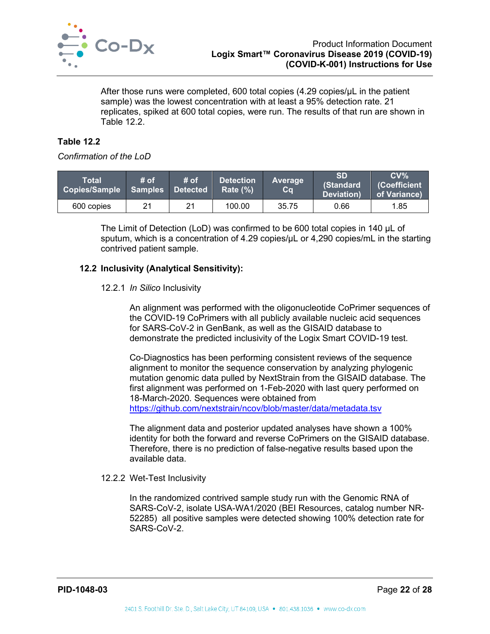

After those runs were completed, 600 total copies  $(4.29 \text{ copies/}\mu L)$  in the patient sample) was the lowest concentration with at least a 95% detection rate. 21 replicates, spiked at 600 total copies, were run. The results of that run are shown in [Table 12.2.](#page-22-1)

## <span id="page-22-1"></span>**Table 12.2**

#### *Confirmation of the LoD*

| Total<br><b>Copies/Sample</b> | # of | # of<br>Samples Detected | <b>Detection</b><br>Rate $(\% )$ | Average<br>Cq | <b>SD</b><br><b>(Standard</b><br>Deviation) | $CV\%$<br>(Coefficient<br>of Variance) |
|-------------------------------|------|--------------------------|----------------------------------|---------------|---------------------------------------------|----------------------------------------|
| 600 copies                    | 21   | 21                       | 100.00                           | 35.75         | 0.66                                        | 1.85                                   |

The Limit of Detection (LoD) was confirmed to be 600 total copies in 140 µL of sputum, which is a concentration of 4.29 copies/µL or 4,290 copies/mL in the starting contrived patient sample.

## <span id="page-22-0"></span>**12.2 Inclusivity (Analytical Sensitivity):**

#### 12.2.1 *In Silico* Inclusivity

An alignment was performed with the oligonucleotide CoPrimer sequences of the COVID-19 CoPrimers with all publicly available nucleic acid sequences for SARS-CoV-2 in GenBank, as well as the GISAID database to demonstrate the predicted inclusivity of the Logix Smart COVID-19 test.

Co-Diagnostics has been performing consistent reviews of the sequence alignment to monitor the sequence conservation by analyzing phylogenic mutation genomic data pulled by NextStrain from the GISAID database. The first alignment was performed on 1-Feb-2020 with last query performed on 18-March-2020. Sequences were obtained from <https://github.com/nextstrain/ncov/blob/master/data/metadata.tsv>

The alignment data and posterior updated analyses have shown a 100% identity for both the forward and reverse CoPrimers on the GISAID database. Therefore, there is no prediction of false-negative results based upon the available data.

#### 12.2.2 Wet-Test Inclusivity

In the randomized contrived sample study run with the Genomic RNA of SARS-CoV-2, isolate USA-WA1/2020 (BEI Resources, catalog number NR-52285) all positive samples were detected showing 100% detection rate for SARS-CoV-2.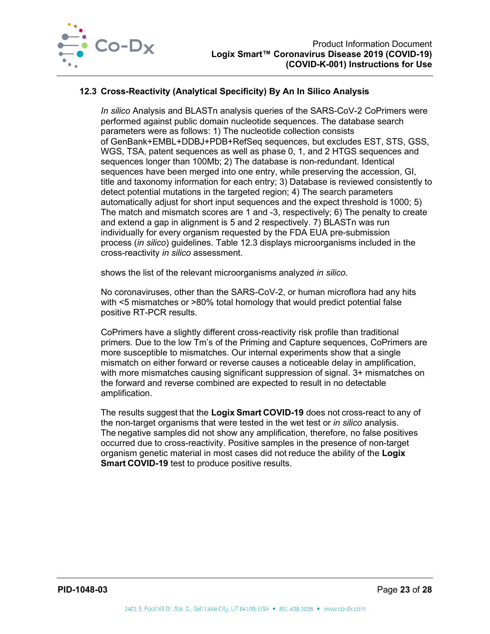

## <span id="page-23-0"></span>**12.3 Cross-Reactivity (Analytical Specificity) By An In Silico Analysis**

*In silico* Analysis and BLASTn analysis queries of the SARS-CoV-2 CoPrimers were performed against public domain nucleotide sequences. The database search parameters were as follows: 1) The nucleotide collection consists of GenBank+EMBL+DDBJ+PDB+RefSeq sequences, but excludes EST, STS, GSS, WGS, TSA, patent sequences as well as phase 0, 1, and 2 HTGS sequences and sequences longer than 100Mb; 2) The database is non-redundant. Identical sequences have been merged into one entry, while preserving the accession, GI, title and taxonomy information for each entry; 3) Database is reviewed consistently to detect potential mutations in the targeted region; 4) The search parameters automatically adjust for short input sequences and the expect threshold is 1000; 5) The match and mismatch scores are 1 and -3, respectively; 6) The penalty to create and extend a gap in alignment is 5 and 2 respectively. 7) BLASTn was run individually for every organism requested by the FDA EUA pre-submission process (*in silico*) guidelines. [Table 12.3](#page-24-1) displays microorganisms included in the cross-reactivity *in silico* assessment.

shows the list of the relevant microorganisms analyzed *in silico*.

No coronaviruses, other than the SARS-CoV-2, or human microflora had any hits with <5 mismatches or >80% total homology that would predict potential false positive RT-PCR results.

CoPrimers have a slightly different cross-reactivity risk profile than traditional primers. Due to the low Tm's of the Priming and Capture sequences, CoPrimers are more susceptible to mismatches. Our internal experiments show that a single mismatch on either forward or reverse causes a noticeable delay in amplification, with more mismatches causing significant suppression of signal. 3+ mismatches on the forward and reverse combined are expected to result in no detectable amplification.

The results suggest that the **Logix Smart COVID-19** does not cross-react to any of the non-target organisms that were tested in the wet test or *in silico* analysis. The negative samples did not show any amplification, therefore, no false positives occurred due to cross-reactivity. Positive samples in the presence of non-target organism genetic material in most cases did not reduce the ability of the **Logix Smart COVID-19** test to produce positive results.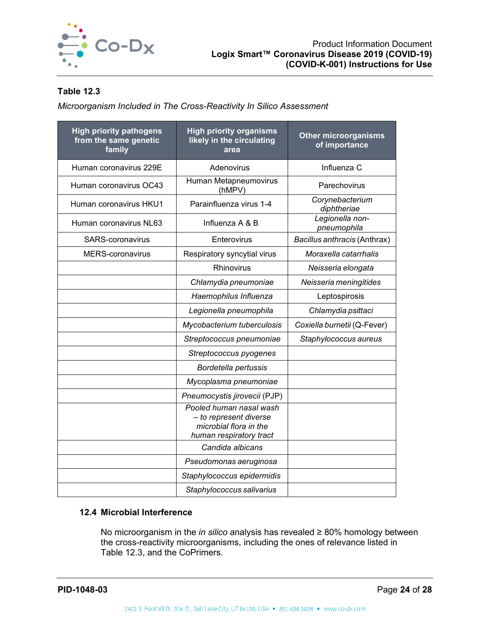

## <span id="page-24-1"></span>**Table 12.3**

*Microorganism Included in The Cross-Reactivity In Silico Assessment*

| <b>High priority pathogens</b><br>from the same genetic<br>family | <b>High priority organisms</b><br>likely in the circulating<br>area                                    | <b>Other microorganisms</b><br>of importance |  |
|-------------------------------------------------------------------|--------------------------------------------------------------------------------------------------------|----------------------------------------------|--|
| Human coronavirus 229E                                            | Adenovirus                                                                                             | Influenza C                                  |  |
| Human coronavirus OC43                                            | Human Metapneumovirus<br>(hMPV)                                                                        | Parechovirus                                 |  |
| Human coronavirus HKU1                                            | Parainfluenza virus 1-4                                                                                | Corynebacterium<br>diphtheriae               |  |
| Human coronavirus NL63                                            | Influenza A & B                                                                                        | Legionella non-<br>pneumophila               |  |
| <b>SARS-coronavirus</b>                                           | Enterovirus                                                                                            | Bacillus anthracis (Anthrax)                 |  |
| <b>MERS-coronavirus</b>                                           | Respiratory syncytial virus                                                                            | Moraxella catarrhalis                        |  |
|                                                                   | Rhinovirus                                                                                             | Neisseria elongata                           |  |
|                                                                   | Chlamydia pneumoniae                                                                                   | Neisseria meningitides                       |  |
|                                                                   | Haemophilus Influenza                                                                                  | Leptospirosis                                |  |
|                                                                   | Legionella pneumophila                                                                                 | Chlamydia psittaci                           |  |
|                                                                   | Mycobacterium tuberculosis                                                                             | Coxiella burnetii (Q-Fever)                  |  |
|                                                                   | Streptococcus pneumoniae                                                                               | Staphylococcus aureus                        |  |
|                                                                   | Streptococcus pyogenes                                                                                 |                                              |  |
|                                                                   | Bordetella pertussis                                                                                   |                                              |  |
|                                                                   | Mycoplasma pneumoniae                                                                                  |                                              |  |
|                                                                   | Pneumocystis jirovecii (PJP)                                                                           |                                              |  |
|                                                                   | Pooled human nasal wash<br>- to represent diverse<br>microbial flora in the<br>human respiratory tract |                                              |  |
|                                                                   | Candida albicans                                                                                       |                                              |  |
|                                                                   | Pseudomonas aeruginosa                                                                                 |                                              |  |
|                                                                   | Staphylococcus epidermidis                                                                             |                                              |  |
|                                                                   | Staphylococcus salivarius                                                                              |                                              |  |

#### <span id="page-24-0"></span>**12.4 Microbial Interference**

No microorganism in the *in silico* analysis has revealed ≥ 80% homology between the cross-reactivity microorganisms, including the ones of relevance listed in [Table 12.3,](#page-24-1) and the CoPrimers.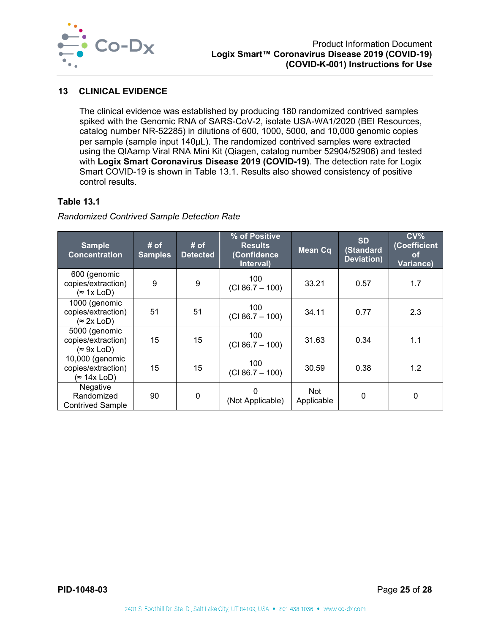

## <span id="page-25-0"></span>**13 CLINICAL EVIDENCE**

The clinical evidence was established by producing 180 randomized contrived samples spiked with the Genomic RNA of SARS-CoV-2, isolate USA-WA1/2020 (BEI Resources, catalog number NR-52285) in dilutions of 600, 1000, 5000, and 10,000 genomic copies per sample (sample input 140µL). The randomized contrived samples were extracted using the QIAamp Viral RNA Mini Kit (Qiagen, catalog number 52904/52906) and tested with **Logix Smart Coronavirus Disease 2019 (COVID-19)**. The detection rate for Logix Smart COVID-19 is shown in [Table 13.1.](#page-25-1) Results also showed consistency of positive control results.

#### <span id="page-25-1"></span>**Table 13.1**

*Randomized Contrived Sample Detection Rate*

| <b>Sample</b><br><b>Concentration</b>                     | # of<br><b>Samples</b> | # of<br><b>Detected</b> | % of Positive<br><b>Results</b><br>(Confidence<br>Interval) | <b>Mean Cq</b>    | <b>SD</b><br>(Standard<br>Deviation) | CV <sub>0</sub><br>(Coefficient<br><b>of</b><br>Variance) |
|-----------------------------------------------------------|------------------------|-------------------------|-------------------------------------------------------------|-------------------|--------------------------------------|-----------------------------------------------------------|
| 600 (genomic<br>copies/extraction)<br>$($ 1x LoD)         | 9                      | 9                       | 100<br>$(CI 86.7 - 100)$                                    | 33.21             | 0.57                                 | 1.7                                                       |
| 1000 (genomic<br>copies/extraction)<br>$(\approx 2x$ LoD) | 51                     | 51                      | 100<br>$(CI 86.7 - 100)$                                    | 34.11             | 0.77                                 | 2.3                                                       |
| 5000 (genomic<br>copies/extraction)<br>$(\approx 9x$ LoD) | 15                     | 15                      | 100<br>$(CI 86.7 - 100)$                                    | 31.63             | 0.34                                 | 1.1                                                       |
| 10,000 (genomic<br>copies/extraction)<br>(≈ 14x LoD)      | 15                     | 15                      | 100<br>$(CI 86.7 - 100)$                                    | 30.59             | 0.38                                 | 1.2                                                       |
| Negative<br>Randomized<br><b>Contrived Sample</b>         | 90                     | $\mathbf 0$             | (Not Applicable)                                            | Not<br>Applicable | 0                                    | 0                                                         |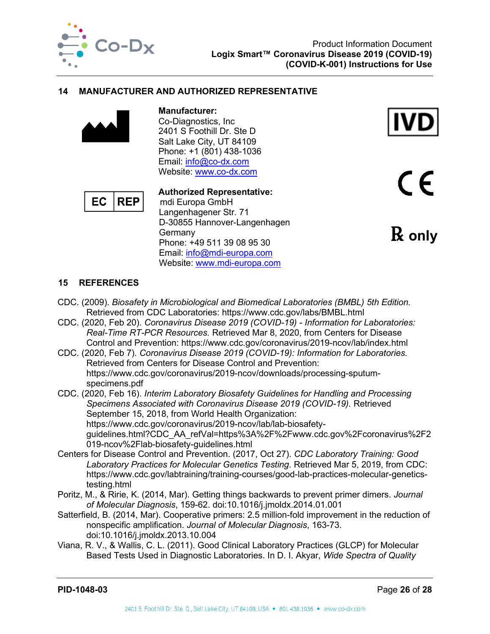

#### <span id="page-26-0"></span>**14 MANUFACTURER AND AUTHORIZED REPRESENTATIVE**



**Manufacturer:** Co-Diagnostics, Inc 2401 S Foothill Dr. Ste D Salt Lake City, UT 84109 Phone: +1 (801) 438-1036 Email: [info@co-dx.com](mailto:info@co-dx.com) Website: [www.co-dx.com](http://www.co-dx.com/)



**Authorized Representative:** mdi Europa GmbH Langenhagener Str. 71 D-30855 Hannover-Langenhagen Germany Phone: +49 511 39 08 95 30 Email: [info@mdi-europa.com](mailto:info@mdi-europa.com) Website: [www.mdi-europa.com](http://www.mdi-europa.com/)



 $\epsilon$ 

℞ **only**

## <span id="page-26-1"></span>**15 REFERENCES**

- CDC. (2009). *Biosafety in Microbiological and Biomedical Laboratories (BMBL) 5th Edition.* Retrieved from CDC Laboratories: https://www.cdc.gov/labs/BMBL.html
- CDC. (2020, Feb 20). *Coronavirus Disease 2019 (COVID-19) - Information for Laboratories: Real-Time RT-PCR Resources.* Retrieved Mar 8, 2020, from Centers for Disease Control and Prevention: https://www.cdc.gov/coronavirus/2019-ncov/lab/index.html
- CDC. (2020, Feb 7). *Coronavirus Disease 2019 (COVID-19): Information for Laboratories.* Retrieved from Centers for Disease Control and Prevention: https://www.cdc.gov/coronavirus/2019-ncov/downloads/processing-sputumspecimens.pdf
- CDC. (2020, Feb 16). *Interim Laboratory Biosafety Guidelines for Handling and Processing Specimens Associated with Coronavirus Disease 2019 (COVID-19).* Retrieved September 15, 2018, from World Health Organization: https://www.cdc.gov/coronavirus/2019-ncov/lab/lab-biosafetyguidelines.html?CDC\_AA\_refVal=https%3A%2F%2Fwww.cdc.gov%2Fcoronavirus%2F2 019-ncov%2Flab-biosafety-guidelines.html
- Centers for Disease Control and Prevention. (2017, Oct 27). *CDC Laboratory Training: Good Laboratory Practices for Molecular Genetics Testing*. Retrieved Mar 5, 2019, from CDC: https://www.cdc.gov/labtraining/training-courses/good-lab-practices-molecular-geneticstesting.html
- Poritz, M., & Ririe, K. (2014, Mar). Getting things backwards to prevent primer dimers. *Journal of Molecular Diagnosis*, 159-62. doi:10.1016/j.jmoldx.2014.01.001
- Satterfield, B. (2014, Mar). Cooperative primers: 2.5 million-fold improvement in the reduction of nonspecific amplification. *Journal of Molecular Diagnosis*, 163-73. doi:10.1016/j.jmoldx.2013.10.004
- Viana, R. V., & Wallis, C. L. (2011). Good Clinical Laboratory Practices (GLCP) for Molecular Based Tests Used in Diagnostic Laboratories. In D. I. Akyar, *Wide Spectra of Quality*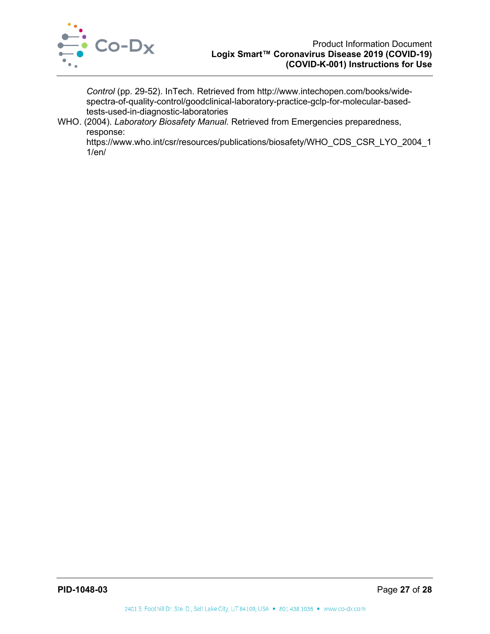

*Control* (pp. 29-52). InTech. Retrieved from http://www.intechopen.com/books/widespectra-of-quality-control/goodclinical-laboratory-practice-gclp-for-molecular-basedtests-used-in-diagnostic-laboratories

WHO. (2004). *Laboratory Biosafety Manual.* Retrieved from Emergencies preparedness, response:

https://www.who.int/csr/resources/publications/biosafety/WHO\_CDS\_CSR\_LYO\_2004\_1 1/en/